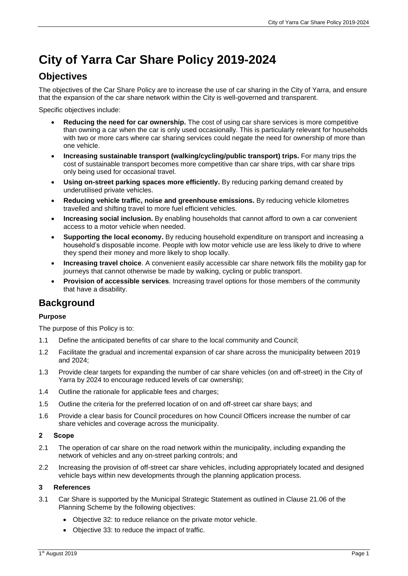# **City of Yarra Car Share Policy 2019-2024**

## **Objectives**

The objectives of the Car Share Policy are to increase the use of car sharing in the City of Yarra, and ensure that the expansion of the car share network within the City is well-governed and transparent.

Specific objectives include:

- **Reducing the need for car ownership.** The cost of using car share services is more competitive than owning a car when the car is only used occasionally. This is particularly relevant for households with two or more cars where car sharing services could negate the need for ownership of more than one vehicle.
- **Increasing sustainable transport (walking/cycling/public transport) trips.** For many trips the cost of sustainable transport becomes more competitive than car share trips, with car share trips only being used for occasional travel.
- **Using on-street parking spaces more efficiently.** By reducing parking demand created by underutilised private vehicles.
- **Reducing vehicle traffic, noise and greenhouse emissions.** By reducing vehicle kilometres travelled and shifting travel to more fuel efficient vehicles.
- **Increasing social inclusion.** By enabling households that cannot afford to own a car convenient access to a motor vehicle when needed.
- **Supporting the local economy.** By reducing household expenditure on transport and increasing a household's disposable income. People with low motor vehicle use are less likely to drive to where they spend their money and more likely to shop locally.
- **Increasing travel choice**. A convenient easily accessible car share network fills the mobility gap for journeys that cannot otherwise be made by walking, cycling or public transport.
- **Provision of accessible services**. Increasing travel options for those members of the community that have a disability.

## **Background**

## **Purpose**

The purpose of this Policy is to:

- 1.1 Define the anticipated benefits of car share to the local community and Council;
- 1.2 Facilitate the gradual and incremental expansion of car share across the municipality between 2019 and 2024;
- 1.3 Provide clear targets for expanding the number of car share vehicles (on and off-street) in the City of Yarra by 2024 to encourage reduced levels of car ownership;
- 1.4 Outline the rationale for applicable fees and charges;
- 1.5 Outline the criteria for the preferred location of on and off-street car share bays; and
- 1.6 Provide a clear basis for Council procedures on how Council Officers increase the number of car share vehicles and coverage across the municipality.

### **2 Scope**

- 2.1 The operation of car share on the road network within the municipality, including expanding the network of vehicles and any on-street parking controls; and
- 2.2 Increasing the provision of off-street car share vehicles, including appropriately located and designed vehicle bays within new developments through the planning application process.

### **3 References**

- 3.1 Car Share is supported by the Municipal Strategic Statement as outlined in Clause 21.06 of the Planning Scheme by the following objectives:
	- Objective 32: to reduce reliance on the private motor vehicle.
	- Objective 33: to reduce the impact of traffic.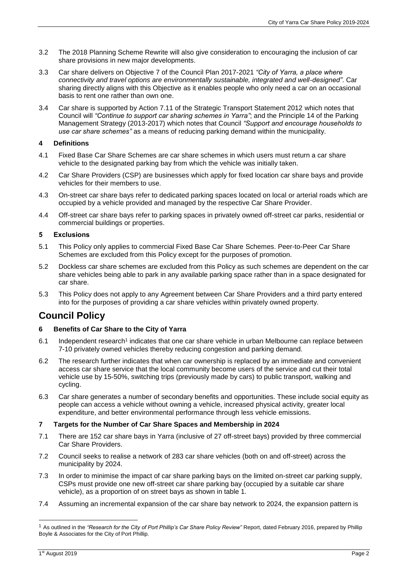- 3.2 The 2018 Planning Scheme Rewrite will also give consideration to encouraging the inclusion of car share provisions in new major developments.
- 3.3 Car share delivers on Objective 7 of the Council Plan 2017-2021 *"City of Yarra, a place where connectivity and travel options are environmentally sustainable, integrated and well-designed"*. Car sharing directly aligns with this Objective as it enables people who only need a car on an occasional basis to rent one rather than own one.
- 3.4 Car share is supported by Action 7.11 of the Strategic Transport Statement 2012 which notes that Council will *"Continue to support car sharing schemes in Yarra"*; and the Principle 14 of the Parking Management Strategy (2013-2017) which notes that Council *"Support and encourage households to use car share schemes"* as a means of reducing parking demand within the municipality.

### **4 Definitions**

- 4.1 Fixed Base Car Share Schemes are car share schemes in which users must return a car share vehicle to the designated parking bay from which the vehicle was initially taken.
- 4.2 Car Share Providers (CSP) are businesses which apply for fixed location car share bays and provide vehicles for their members to use.
- 4.3 On-street car share bays refer to dedicated parking spaces located on local or arterial roads which are occupied by a vehicle provided and managed by the respective Car Share Provider.
- 4.4 Off-street car share bays refer to parking spaces in privately owned off-street car parks, residential or commercial buildings or properties.

## **5 Exclusions**

- 5.1 This Policy only applies to commercial Fixed Base Car Share Schemes. Peer-to-Peer Car Share Schemes are excluded from this Policy except for the purposes of promotion.
- 5.2 Dockless car share schemes are excluded from this Policy as such schemes are dependent on the car share vehicles being able to park in any available parking space rather than in a space designated for car share.
- 5.3 This Policy does not apply to any Agreement between Car Share Providers and a third party entered into for the purposes of providing a car share vehicles within privately owned property.

## **Council Policy**

### **6 Benefits of Car Share to the City of Yarra**

- 6.1 Independent research<sup>1</sup> indicates that one car share vehicle in urban Melbourne can replace between 7-10 privately owned vehicles thereby reducing congestion and parking demand.
- 6.2 The research further indicates that when car ownership is replaced by an immediate and convenient access car share service that the local community become users of the service and cut their total vehicle use by 15-50%, switching trips (previously made by cars) to public transport, walking and cycling.
- 6.3 Car share generates a number of secondary benefits and opportunities. These include social equity as people can access a vehicle without owning a vehicle, increased physical activity, greater local expenditure, and better environmental performance through less vehicle emissions.

## **7 Targets for the Number of Car Share Spaces and Membership in 2024**

- 7.1 There are 152 car share bays in Yarra (inclusive of 27 off-street bays) provided by three commercial Car Share Providers.
- 7.2 Council seeks to realise a network of 283 car share vehicles (both on and off-street) across the municipality by 2024.
- 7.3 In order to minimise the impact of car share parking bays on the limited on-street car parking supply, CSPs must provide one new off-street car share parking bay (occupied by a suitable car share vehicle), as a proportion of on street bays as shown in table 1.
- 7.4 Assuming an incremental expansion of the car share bay network to 2024, the expansion pattern is

-

<sup>&</sup>lt;sup>1</sup> As outlined in the "Research for the City of Port Phillip's Car Share Policy Review" Report, dated February 2016, prepared by Phillip Boyle & Associates for the City of Port Phillip.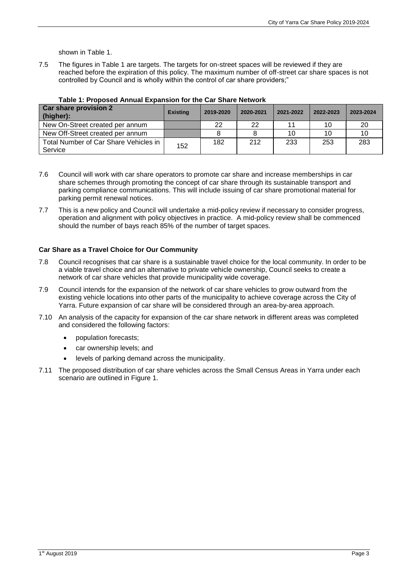shown in Table 1.

7.5 The figures in Table 1 are targets. The targets for on-street spaces will be reviewed if they are reached before the expiration of this policy. The maximum number of off-street car share spaces is not controlled by Council and is wholly within the control of car share providers;"

| <b>Car share provision 2</b><br>(higher):        | <b>Existing</b> | 2019-2020 | 2020-2021 | 2021-2022 | 2022-2023 | 2023-2024 |
|--------------------------------------------------|-----------------|-----------|-----------|-----------|-----------|-----------|
| New On-Street created per annum                  |                 | 22        | 22        |           | 10        | 20        |
| New Off-Street created per annum                 |                 |           |           | 10        | 10        | 10        |
| Total Number of Car Share Vehicles in<br>Service | 152             | 182       | 212       | 233       | 253       | 283       |

**Table 1: Proposed Annual Expansion for the Car Share Network** 

- 7.6 Council will work with car share operators to promote car share and increase memberships in car share schemes through promoting the concept of car share through its sustainable transport and parking compliance communications. This will include issuing of car share promotional material for parking permit renewal notices.
- 7.7 This is a new policy and Council will undertake a mid-policy review if necessary to consider progress, operation and alignment with policy objectives in practice. A mid-policy review shall be commenced should the number of bays reach 85% of the number of target spaces.

### **Car Share as a Travel Choice for Our Community**

- 7.8 Council recognises that car share is a sustainable travel choice for the local community. In order to be a viable travel choice and an alternative to private vehicle ownership, Council seeks to create a network of car share vehicles that provide municipality wide coverage.
- 7.9 Council intends for the expansion of the network of car share vehicles to grow outward from the existing vehicle locations into other parts of the municipality to achieve coverage across the City of Yarra. Future expansion of car share will be considered through an area-by-area approach.
- 7.10 An analysis of the capacity for expansion of the car share network in different areas was completed and considered the following factors:
	- population forecasts;
	- car ownership levels; and
	- levels of parking demand across the municipality.
- 7.11 The proposed distribution of car share vehicles across the Small Census Areas in Yarra under each scenario are outlined in Figure 1.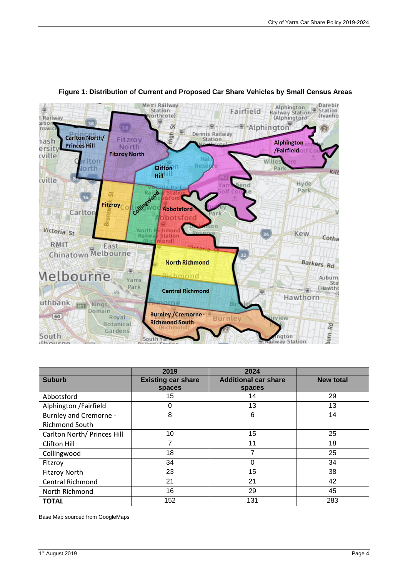

## **Figure 1: Distribution of Current and Proposed Car Share Vehicles by Small Census Areas**

|                               | 2019                      | 2024                        |                  |
|-------------------------------|---------------------------|-----------------------------|------------------|
| <b>Suburb</b>                 | <b>Existing car share</b> | <b>Additional car share</b> | <b>New total</b> |
|                               | spaces                    | spaces                      |                  |
| Abbotsford                    | 15                        | 14                          | 29               |
| Alphington /Fairfield         | 0                         | 13                          | 13               |
| <b>Burnley and Cremorne -</b> | 8                         | 6                           | 14               |
| <b>Richmond South</b>         |                           |                             |                  |
| Carlton North/ Princes Hill   | 10                        | 15                          | 25               |
| Clifton Hill                  | 7                         | 11                          | 18               |
| Collingwood                   | 18                        | 7                           | 25               |
| Fitzroy                       | 34                        | 0                           | 34               |
| <b>Fitzroy North</b>          | 23                        | 15                          | 38               |
| <b>Central Richmond</b>       | 21                        | 21                          | 42               |
| North Richmond                | 16                        | 29                          | 45               |
| <b>TOTAL</b>                  | 152                       | 131                         | 283              |

Base Map sourced from GoogleMaps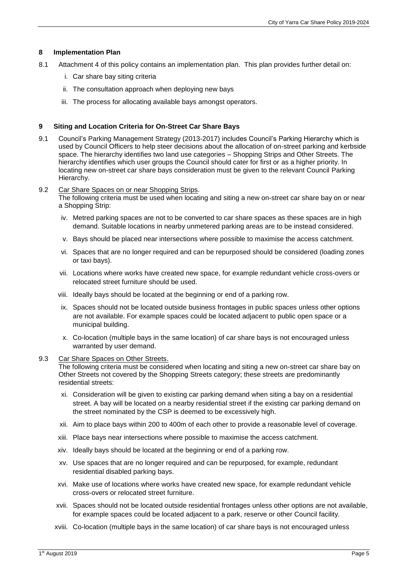### **8 Implementation Plan**

- 8.1 Attachment 4 of this policy contains an implementation plan. This plan provides further detail on:
	- i. Car share bay siting criteria
	- ii. The consultation approach when deploying new bays
	- iii. The process for allocating available bays amongst operators.

#### **9 Siting and Location Criteria for On-Street Car Share Bays**

- 9.1 Council's Parking Management Strategy (2013-2017) includes Council's Parking Hierarchy which is used by Council Officers to help steer decisions about the allocation of on-street parking and kerbside space. The hierarchy identifies two land use categories – Shopping Strips and Other Streets. The hierarchy identifies which user groups the Council should cater for first or as a higher priority. In locating new on-street car share bays consideration must be given to the relevant Council Parking Hierarchy.
- 9.2 Car Share Spaces on or near Shopping Strips.

The following criteria must be used when locating and siting a new on-street car share bay on or near a Shopping Strip:

- iv. Metred parking spaces are not to be converted to car share spaces as these spaces are in high demand. Suitable locations in nearby unmetered parking areas are to be instead considered.
- v. Bays should be placed near intersections where possible to maximise the access catchment.
- vi. Spaces that are no longer required and can be repurposed should be considered (loading zones or taxi bays).
- vii. Locations where works have created new space, for example redundant vehicle cross-overs or relocated street furniture should be used.
- viii. Ideally bays should be located at the beginning or end of a parking row.
- ix. Spaces should not be located outside business frontages in public spaces unless other options are not available. For example spaces could be located adjacent to public open space or a municipal building.
- x. Co-location (multiple bays in the same location) of car share bays is not encouraged unless warranted by user demand.

#### 9.3 Car Share Spaces on Other Streets.

The following criteria must be considered when locating and siting a new on-street car share bay on Other Streets not covered by the Shopping Streets category; these streets are predominantly residential streets:

- xi. Consideration will be given to existing car parking demand when siting a bay on a residential street. A bay will be located on a nearby residential street if the existing car parking demand on the street nominated by the CSP is deemed to be excessively high.
- xii. Aim to place bays within 200 to 400m of each other to provide a reasonable level of coverage.
- xiii. Place bays near intersections where possible to maximise the access catchment.
- xiv. Ideally bays should be located at the beginning or end of a parking row.
- xv. Use spaces that are no longer required and can be repurposed, for example, redundant residential disabled parking bays.
- xvi. Make use of locations where works have created new space, for example redundant vehicle cross-overs or relocated street furniture.
- xvii. Spaces should not be located outside residential frontages unless other options are not available, for example spaces could be located adjacent to a park, reserve or other Council facility.
- xviii. Co-location (multiple bays in the same location) of car share bays is not encouraged unless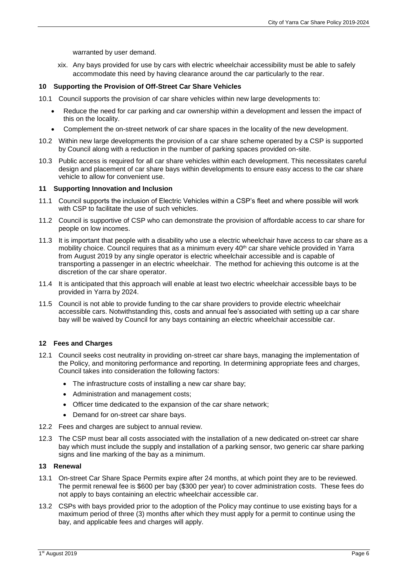warranted by user demand.

xix. Any bays provided for use by cars with electric wheelchair accessibility must be able to safely accommodate this need by having clearance around the car particularly to the rear.

#### **10 Supporting the Provision of Off-Street Car Share Vehicles**

- 10.1 Council supports the provision of car share vehicles within new large developments to:
	- Reduce the need for car parking and car ownership within a development and lessen the impact of this on the locality.
	- Complement the on-street network of car share spaces in the locality of the new development.
- 10.2 Within new large developments the provision of a car share scheme operated by a CSP is supported by Council along with a reduction in the number of parking spaces provided on-site.
- 10.3 Public access is required for all car share vehicles within each development. This necessitates careful design and placement of car share bays within developments to ensure easy access to the car share vehicle to allow for convenient use.

#### **11 Supporting Innovation and Inclusion**

- 11.1 Council supports the inclusion of Electric Vehicles within a CSP's fleet and where possible will work with CSP to facilitate the use of such vehicles.
- 11.2 Council is supportive of CSP who can demonstrate the provision of affordable access to car share for people on low incomes.
- 11.3 It is important that people with a disability who use a electric wheelchair have access to car share as a mobility choice. Council requires that as a minimum every 40<sup>th</sup> car share vehicle provided in Yarra from August 2019 by any single operator is electric wheelchair accessible and is capable of transporting a passenger in an electric wheelchair. The method for achieving this outcome is at the discretion of the car share operator.
- 11.4 It is anticipated that this approach will enable at least two electric wheelchair accessible bays to be provided in Yarra by 2024.
- 11.5 Council is not able to provide funding to the car share providers to provide electric wheelchair accessible cars. Notwithstanding this, costs and annual fee's associated with setting up a car share bay will be waived by Council for any bays containing an electric wheelchair accessible car.

### **12 Fees and Charges**

- 12.1 Council seeks cost neutrality in providing on-street car share bays, managing the implementation of the Policy, and monitoring performance and reporting. In determining appropriate fees and charges, Council takes into consideration the following factors:
	- The infrastructure costs of installing a new car share bay;
	- Administration and management costs;
	- Officer time dedicated to the expansion of the car share network;
	- Demand for on-street car share bays.
- 12.2 Fees and charges are subject to annual review.
- 12.3 The CSP must bear all costs associated with the installation of a new dedicated on-street car share bay which must include the supply and installation of a parking sensor, two generic car share parking signs and line marking of the bay as a minimum.

#### **13 Renewal**

- 13.1 On-street Car Share Space Permits expire after 24 months, at which point they are to be reviewed. The permit renewal fee is \$600 per bay (\$300 per year) to cover administration costs. These fees do not apply to bays containing an electric wheelchair accessible car.
- 13.2 CSPs with bays provided prior to the adoption of the Policy may continue to use existing bays for a maximum period of three (3) months after which they must apply for a permit to continue using the bay, and applicable fees and charges will apply.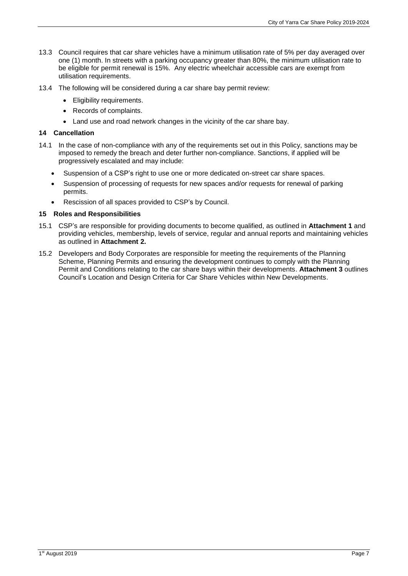- 13.3 Council requires that car share vehicles have a minimum utilisation rate of 5% per day averaged over one (1) month. In streets with a parking occupancy greater than 80%, the minimum utilisation rate to be eligible for permit renewal is 15%. Any electric wheelchair accessible cars are exempt from utilisation requirements.
- 13.4 The following will be considered during a car share bay permit review:
	- Eligibility requirements.
	- Records of complaints.
	- Land use and road network changes in the vicinity of the car share bay.

### **14 Cancellation**

- 14.1 In the case of non-compliance with any of the requirements set out in this Policy, sanctions may be imposed to remedy the breach and deter further non-compliance. Sanctions, if applied will be progressively escalated and may include:
	- Suspension of a CSP's right to use one or more dedicated on-street car share spaces.
	- Suspension of processing of requests for new spaces and/or requests for renewal of parking permits.
	- Rescission of all spaces provided to CSP's by Council.

## **15 Roles and Responsibilities**

- 15.1 CSP's are responsible for providing documents to become qualified, as outlined in **Attachment 1** and providing vehicles, membership, levels of service, regular and annual reports and maintaining vehicles as outlined in **Attachment 2.**
- 15.2 Developers and Body Corporates are responsible for meeting the requirements of the Planning Scheme, Planning Permits and ensuring the development continues to comply with the Planning Permit and Conditions relating to the car share bays within their developments. **Attachment 3** outlines Council's Location and Design Criteria for Car Share Vehicles within New Developments.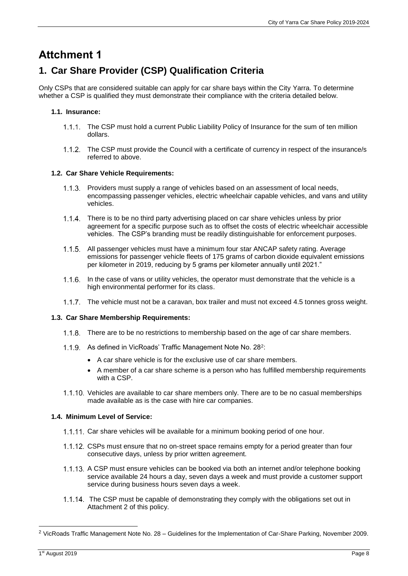## **Attchment 1**

## **1. Car Share Provider (CSP) Qualification Criteria**

Only CSPs that are considered suitable can apply for car share bays within the City Yarra. To determine whether a CSP is qualified they must demonstrate their compliance with the criteria detailed below.

## **1.1. Insurance:**

- The CSP must hold a current Public Liability Policy of Insurance for the sum of ten million dollars.
- The CSP must provide the Council with a certificate of currency in respect of the insurance/s referred to above.

## **1.2. Car Share Vehicle Requirements:**

- Providers must supply a range of vehicles based on an assessment of local needs, encompassing passenger vehicles, electric wheelchair capable vehicles, and vans and utility vehicles.
- 1.1.4. There is to be no third party advertising placed on car share vehicles unless by prior agreement for a specific purpose such as to offset the costs of electric wheelchair accessible vehicles. The CSP's branding must be readily distinguishable for enforcement purposes.
- 1.1.5. All passenger vehicles must have a minimum four star ANCAP safety rating. Average emissions for passenger vehicle fleets of 175 grams of carbon dioxide equivalent emissions per kilometer in 2019, reducing by 5 grams per kilometer annually until 2021."
- 1.1.6. In the case of vans or utility vehicles, the operator must demonstrate that the vehicle is a high environmental performer for its class.
- 1.1.7. The vehicle must not be a caravan, box trailer and must not exceed 4.5 tonnes gross weight.

## **1.3. Car Share Membership Requirements:**

- 1.1.8. There are to be no restrictions to membership based on the age of car share members.
- As defined in VicRoads' Traffic Management Note No. 28<sup>2</sup>:
	- A car share vehicle is for the exclusive use of car share members.
	- A member of a car share scheme is a person who has fulfilled membership requirements with a CSP.
- 1.1.10. Vehicles are available to car share members only. There are to be no casual memberships made available as is the case with hire car companies.

## **1.4. Minimum Level of Service:**

- 1.1.11. Car share vehicles will be available for a minimum booking period of one hour.
- 1.1.12. CSPs must ensure that no on-street space remains empty for a period greater than four consecutive days, unless by prior written agreement.
- 1.1.13. A CSP must ensure vehicles can be booked via both an internet and/or telephone booking service available 24 hours a day, seven days a week and must provide a customer support service during business hours seven days a week.
- 1.1.14. The CSP must be capable of demonstrating they comply with the obligations set out in Attachment 2 of this policy.

1

<sup>2</sup> VicRoads Traffic Management Note No. 28 – Guidelines for the Implementation of Car-Share Parking, November 2009.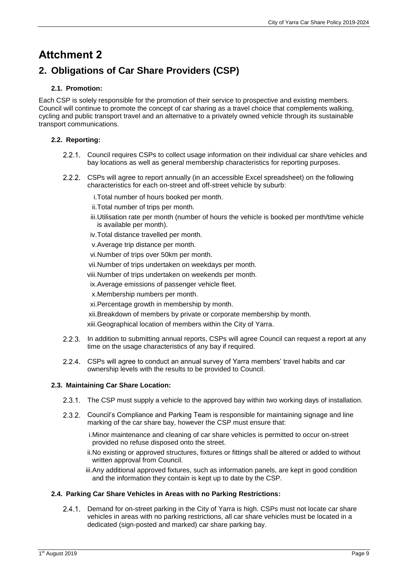# **Attchment 2**

## **2. Obligations of Car Share Providers (CSP)**

## **2.1. Promotion:**

Each CSP is solely responsible for the promotion of their service to prospective and existing members. Council will continue to promote the concept of car sharing as a travel choice that complements walking, cycling and public transport travel and an alternative to a privately owned vehicle through its sustainable transport communications.

## **2.2. Reporting:**

- 2.2.1. Council requires CSPs to collect usage information on their individual car share vehicles and bay locations as well as general membership characteristics for reporting purposes.
- CSPs will agree to report annually (in an accessible Excel spreadsheet) on the following characteristics for each on-street and off-street vehicle by suburb:
	- i.Total number of hours booked per month.
	- ii. Total number of trips per month.
	- iii.Utilisation rate per month (number of hours the vehicle is booked per month/time vehicle is available per month).
	- iv.Total distance travelled per month.
	- v.Average trip distance per month.
	- vi.Number of trips over 50km per month.
	- vii.Number of trips undertaken on weekdays per month.
	- viii.Number of trips undertaken on weekends per month.
	- ix.Average emissions of passenger vehicle fleet.
	- x.Membership numbers per month.
	- xi.Percentage growth in membership by month.
	- xii.Breakdown of members by private or corporate membership by month.

xiii.Geographical location of members within the City of Yarra.

- 2.2.3. In addition to submitting annual reports, CSPs will agree Council can request a report at any time on the usage characteristics of any bay if required.
- CSPs will agree to conduct an annual survey of Yarra members' travel habits and car ownership levels with the results to be provided to Council.

## **2.3. Maintaining Car Share Location:**

- 2.3.1. The CSP must supply a vehicle to the approved bay within two working days of installation.
- 2.3.2. Council's Compliance and Parking Team is responsible for maintaining signage and line marking of the car share bay, however the CSP must ensure that:
	- i.Minor maintenance and cleaning of car share vehicles is permitted to occur on-street provided no refuse disposed onto the street.
	- ii.No existing or approved structures, fixtures or fittings shall be altered or added to without written approval from Council.
	- iii.Any additional approved fixtures, such as information panels, are kept in good condition and the information they contain is kept up to date by the CSP.

### **2.4. Parking Car Share Vehicles in Areas with no Parking Restrictions:**

2.4.1. Demand for on-street parking in the City of Yarra is high. CSPs must not locate car share vehicles in areas with no parking restrictions, all car share vehicles must be located in a dedicated (sign-posted and marked) car share parking bay.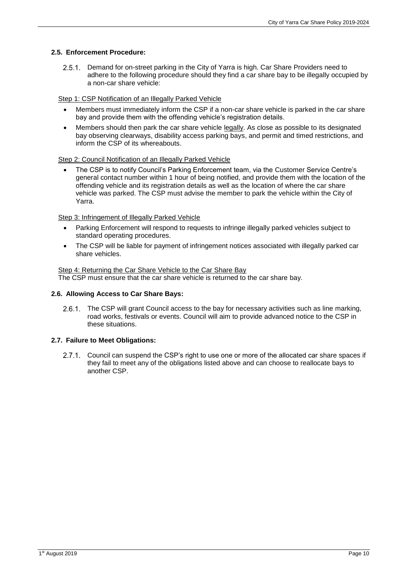#### **2.5. Enforcement Procedure:**

2.5.1. Demand for on-street parking in the City of Yarra is high. Car Share Providers need to adhere to the following procedure should they find a car share bay to be illegally occupied by a non-car share vehicle:

#### Step 1: CSP Notification of an Illegally Parked Vehicle

- Members must immediately inform the CSP if a non-car share vehicle is parked in the car share bay and provide them with the offending vehicle's registration details.
- Members should then park the car share vehicle legally. As close as possible to its designated bay observing clearways, disability access parking bays, and permit and timed restrictions, and inform the CSP of its whereabouts.

#### Step 2: Council Notification of an Illegally Parked Vehicle

 The CSP is to notify Council's Parking Enforcement team, via the Customer Service Centre's general contact number within 1 hour of being notified, and provide them with the location of the offending vehicle and its registration details as well as the location of where the car share vehicle was parked. The CSP must advise the member to park the vehicle within the City of Yarra.

#### Step 3: Infringement of Illegally Parked Vehicle

- Parking Enforcement will respond to requests to infringe illegally parked vehicles subject to standard operating procedures.
- The CSP will be liable for payment of infringement notices associated with illegally parked car share vehicles.

#### Step 4: Returning the Car Share Vehicle to the Car Share Bay The CSP must ensure that the car share vehicle is returned to the car share bay.

### **2.6. Allowing Access to Car Share Bays:**

2.6.1. The CSP will grant Council access to the bay for necessary activities such as line marking, road works, festivals or events. Council will aim to provide advanced notice to the CSP in these situations.

### **2.7. Failure to Meet Obligations:**

2.7.1. Council can suspend the CSP's right to use one or more of the allocated car share spaces if they fail to meet any of the obligations listed above and can choose to reallocate bays to another CSP.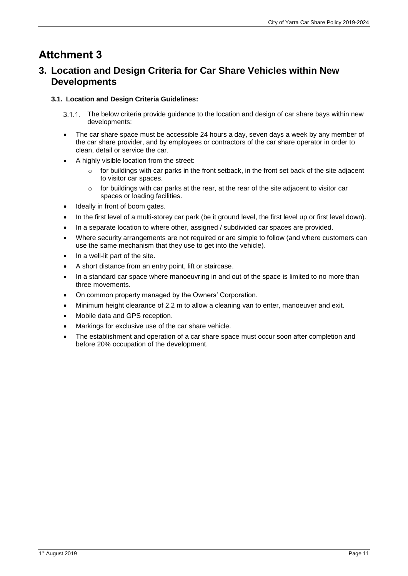# **Attchment 3**

## **3. Location and Design Criteria for Car Share Vehicles within New Developments**

## **3.1. Location and Design Criteria Guidelines:**

- 3.1.1. The below criteria provide guidance to the location and design of car share bays within new developments:
- The car share space must be accessible 24 hours a day, seven days a week by any member of the car share provider, and by employees or contractors of the car share operator in order to clean, detail or service the car.
- A highly visible location from the street:
	- $\circ$  for buildings with car parks in the front setback, in the front set back of the site adjacent to visitor car spaces.
	- $\circ$  for buildings with car parks at the rear, at the rear of the site adjacent to visitor car spaces or loading facilities.
- Ideally in front of boom gates.
- In the first level of a multi-storey car park (be it ground level, the first level up or first level down).
- In a separate location to where other, assigned / subdivided car spaces are provided.
- Where security arrangements are not required or are simple to follow (and where customers can use the same mechanism that they use to get into the vehicle).
- In a well-lit part of the site.
- A short distance from an entry point, lift or staircase.
- In a standard car space where manoeuvring in and out of the space is limited to no more than three movements.
- On common property managed by the Owners' Corporation.
- Minimum height clearance of 2.2 m to allow a cleaning van to enter, manoeuver and exit.
- Mobile data and GPS reception.
- Markings for exclusive use of the car share vehicle.
- The establishment and operation of a car share space must occur soon after completion and before 20% occupation of the development.